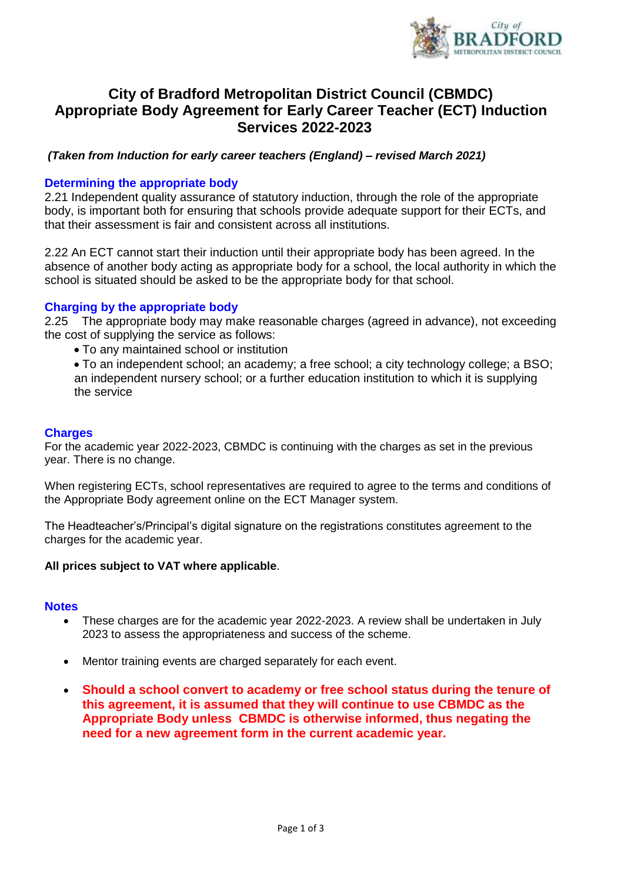

# **City of Bradford Metropolitan District Council (CBMDC) Appropriate Body Agreement for Early Career Teacher (ECT) Induction Services 2022-2023**

## *(Taken from Induction for early career teachers (England) – revised March 2021)*

## **Determining the appropriate body**

2.21 Independent quality assurance of statutory induction, through the role of the appropriate body, is important both for ensuring that schools provide adequate support for their ECTs, and that their assessment is fair and consistent across all institutions.

2.22 An ECT cannot start their induction until their appropriate body has been agreed. In the absence of another body acting as appropriate body for a school, the local authority in which the school is situated should be asked to be the appropriate body for that school.

### **Charging by the appropriate body**

2.25 The appropriate body may make reasonable charges (agreed in advance), not exceeding the cost of supplying the service as follows:

To any maintained school or institution

 To an independent school; an academy; a free school; a city technology college; a BSO; an independent nursery school; or a further education institution to which it is supplying the service

### **Charges**

For the academic year 2022-2023, CBMDC is continuing with the charges as set in the previous year. There is no change.

When registering ECTs, school representatives are required to agree to the terms and conditions of the Appropriate Body agreement online on the ECT Manager system.

The Headteacher's/Principal's digital signature on the registrations constitutes agreement to the charges for the academic year.

#### **All prices subject to VAT where applicable**.

#### **Notes**

- These charges are for the academic year 2022-2023. A review shall be undertaken in July 2023 to assess the appropriateness and success of the scheme.
- Mentor training events are charged separately for each event.
- **Should a school convert to academy or free school status during the tenure of this agreement, it is assumed that they will continue to use CBMDC as the Appropriate Body unless CBMDC is otherwise informed, thus negating the need for a new agreement form in the current academic year.**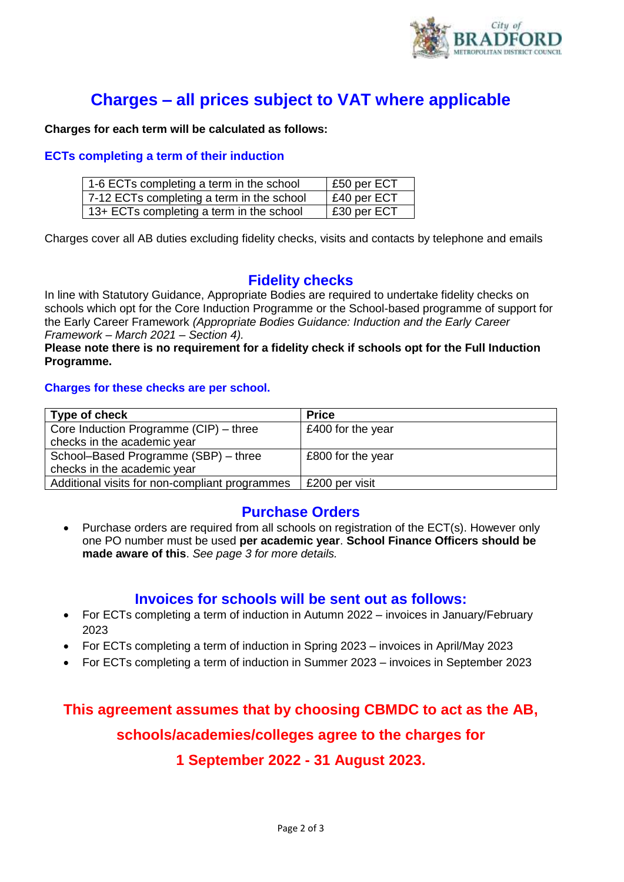

# **Charges – all prices subject to VAT where applicable**

**Charges for each term will be calculated as follows:**

## **ECTs completing a term of their induction**

| 1-6 ECTs completing a term in the school  | E50 per ECT         |
|-------------------------------------------|---------------------|
| 7-12 ECTs completing a term in the school | $\vert$ £40 per ECT |
| 13+ ECTs completing a term in the school  | E30 per ECT         |

Charges cover all AB duties excluding fidelity checks, visits and contacts by telephone and emails

# **Fidelity checks**

In line with Statutory Guidance, Appropriate Bodies are required to undertake fidelity checks on schools which opt for the Core Induction Programme or the School-based programme of support for the Early Career Framework *(Appropriate Bodies Guidance: Induction and the Early Career Framework – March 2021 – Section 4).*

#### **Please note there is no requirement for a fidelity check if schools opt for the Full Induction Programme.**

### **Charges for these checks are per school.**

| Type of check                                  | <b>Price</b>      |
|------------------------------------------------|-------------------|
| Core Induction Programme (CIP) – three         | £400 for the year |
| checks in the academic year                    |                   |
| School-Based Programme (SBP) - three           | £800 for the year |
| checks in the academic year                    |                   |
| Additional visits for non-compliant programmes | £200 per visit    |

# **Purchase Orders**

 Purchase orders are required from all schools on registration of the ECT(s). However only one PO number must be used **per academic year**. **School Finance Officers should be made aware of this**. *See page 3 for more details.*

# **Invoices for schools will be sent out as follows:**

- For ECTs completing a term of induction in Autumn 2022 invoices in January/February 2023
- For ECTs completing a term of induction in Spring 2023 invoices in April/May 2023
- For ECTs completing a term of induction in Summer 2023 invoices in September 2023

# **This agreement assumes that by choosing CBMDC to act as the AB, schools/academies/colleges agree to the charges for 1 September 2022 - 31 August 2023.**